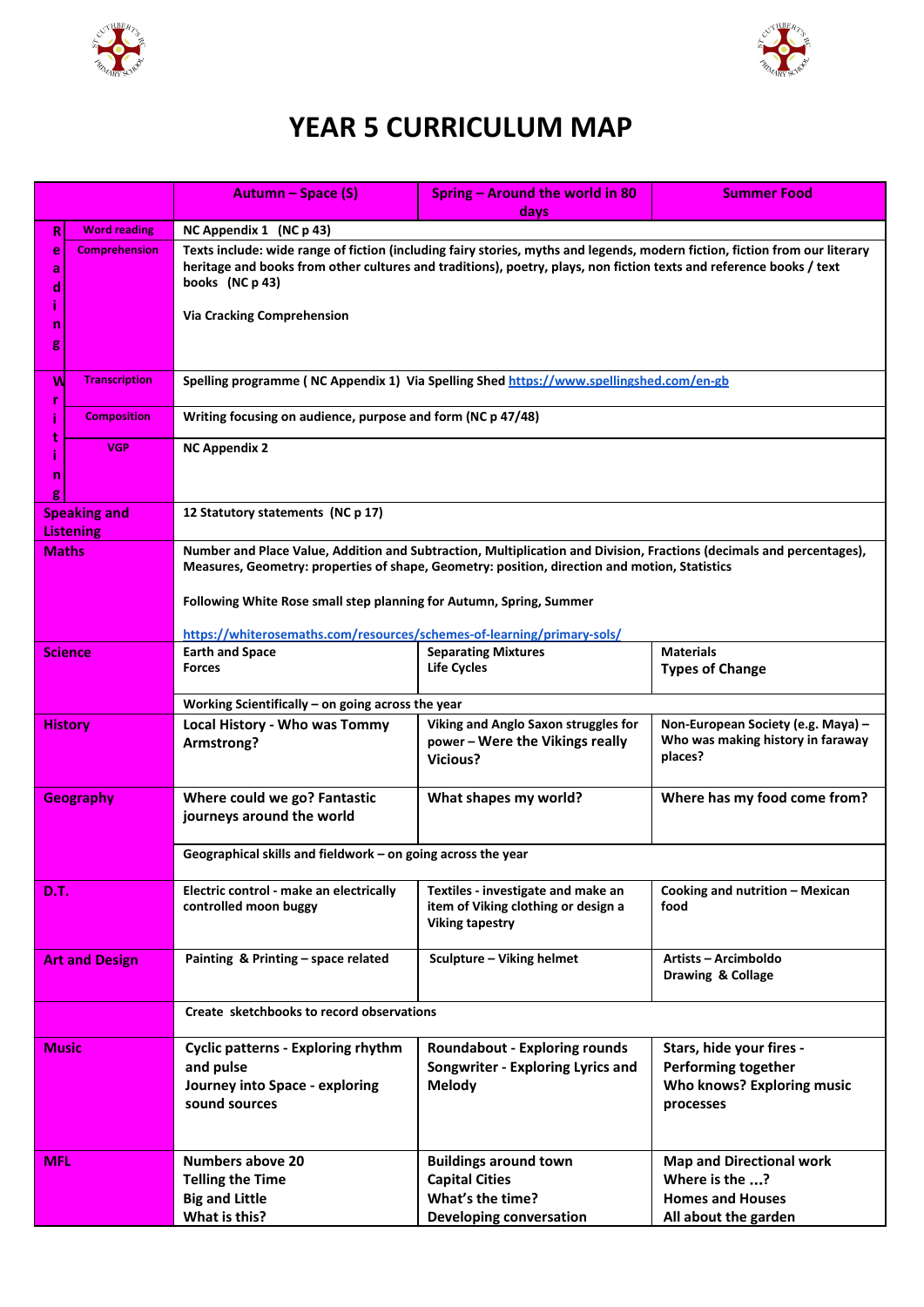



## **YEAR 5 CURRICULUM MAP**

|                                           |                      | <b>Autumn - Space (S)</b>                                                                                                                                                                                                                                                                                                                                              | Spring - Around the world in 80                                                                             | <b>Summer Food</b>                                                                                   |  |  |
|-------------------------------------------|----------------------|------------------------------------------------------------------------------------------------------------------------------------------------------------------------------------------------------------------------------------------------------------------------------------------------------------------------------------------------------------------------|-------------------------------------------------------------------------------------------------------------|------------------------------------------------------------------------------------------------------|--|--|
| R                                         | <b>Word reading</b>  | NC Appendix 1 (NC p 43)                                                                                                                                                                                                                                                                                                                                                | days                                                                                                        |                                                                                                      |  |  |
| e<br>a<br>d.<br>n<br>g                    | <b>Comprehension</b> | Texts include: wide range of fiction (including fairy stories, myths and legends, modern fiction, fiction from our literary<br>heritage and books from other cultures and traditions), poetry, plays, non fiction texts and reference books / text<br>books (NC p 43)<br><b>Via Cracking Comprehension</b>                                                             |                                                                                                             |                                                                                                      |  |  |
| W                                         | <b>Transcription</b> | Spelling programme (NC Appendix 1) Via Spelling Shed https://www.spellingshed.com/en-gb                                                                                                                                                                                                                                                                                |                                                                                                             |                                                                                                      |  |  |
|                                           | <b>Composition</b>   | Writing focusing on audience, purpose and form (NC p 47/48)                                                                                                                                                                                                                                                                                                            |                                                                                                             |                                                                                                      |  |  |
| n                                         | <b>VGP</b>           | <b>NC Appendix 2</b>                                                                                                                                                                                                                                                                                                                                                   |                                                                                                             |                                                                                                      |  |  |
| <b>Speaking and</b><br><b>Listening</b>   |                      | 12 Statutory statements (NC p 17)                                                                                                                                                                                                                                                                                                                                      |                                                                                                             |                                                                                                      |  |  |
| <b>Maths</b>                              |                      | Number and Place Value, Addition and Subtraction, Multiplication and Division, Fractions (decimals and percentages),<br>Measures, Geometry: properties of shape, Geometry: position, direction and motion, Statistics<br>Following White Rose small step planning for Autumn, Spring, Summer<br>https://whiterosemaths.com/resources/schemes-of-learning/primary-sols/ |                                                                                                             |                                                                                                      |  |  |
|                                           |                      |                                                                                                                                                                                                                                                                                                                                                                        | <b>Separating Mixtures</b>                                                                                  | <b>Materials</b>                                                                                     |  |  |
| <b>Science</b>                            |                      | <b>Earth and Space</b><br><b>Forces</b>                                                                                                                                                                                                                                                                                                                                | <b>Life Cycles</b>                                                                                          | <b>Types of Change</b>                                                                               |  |  |
|                                           |                      | Working Scientifically - on going across the year                                                                                                                                                                                                                                                                                                                      |                                                                                                             |                                                                                                      |  |  |
| <b>History</b>                            |                      | <b>Local History - Who was Tommy</b><br>Armstrong?                                                                                                                                                                                                                                                                                                                     | Viking and Anglo Saxon struggles for<br>power - Were the Vikings really<br>Vicious?                         | Non-European Society (e.g. Maya) -<br>Who was making history in faraway<br>places?                   |  |  |
| <b>Geography</b>                          |                      | Where could we go? Fantastic<br>journeys around the world                                                                                                                                                                                                                                                                                                              | What shapes my world?                                                                                       | Where has my food come from?                                                                         |  |  |
|                                           |                      | Geographical skills and fieldwork - on going across the year                                                                                                                                                                                                                                                                                                           |                                                                                                             |                                                                                                      |  |  |
| D.T.                                      |                      | Electric control - make an electrically<br>controlled moon buggy                                                                                                                                                                                                                                                                                                       | Textiles - investigate and make an<br>item of Viking clothing or design a<br><b>Viking tapestry</b>         | Cooking and nutrition - Mexican<br>food                                                              |  |  |
| <b>Art and Design</b>                     |                      | Painting & Printing - space related                                                                                                                                                                                                                                                                                                                                    | Sculpture - Viking helmet                                                                                   | Artists – Arcimboldo<br>Drawing & Collage                                                            |  |  |
| Create sketchbooks to record observations |                      |                                                                                                                                                                                                                                                                                                                                                                        |                                                                                                             |                                                                                                      |  |  |
| <b>Music</b>                              |                      | <b>Cyclic patterns - Exploring rhythm</b><br>and pulse<br>Journey into Space - exploring<br>sound sources                                                                                                                                                                                                                                                              | <b>Roundabout - Exploring rounds</b><br>Songwriter - Exploring Lyrics and<br><b>Melody</b>                  | Stars, hide your fires -<br>Performing together<br><b>Who knows? Exploring music</b><br>processes    |  |  |
| <b>MFL</b>                                |                      | <b>Numbers above 20</b><br><b>Telling the Time</b><br><b>Big and Little</b><br>What is this?                                                                                                                                                                                                                                                                           | <b>Buildings around town</b><br><b>Capital Cities</b><br>What's the time?<br><b>Developing conversation</b> | <b>Map and Directional work</b><br>Where is the ?<br><b>Homes and Houses</b><br>All about the garden |  |  |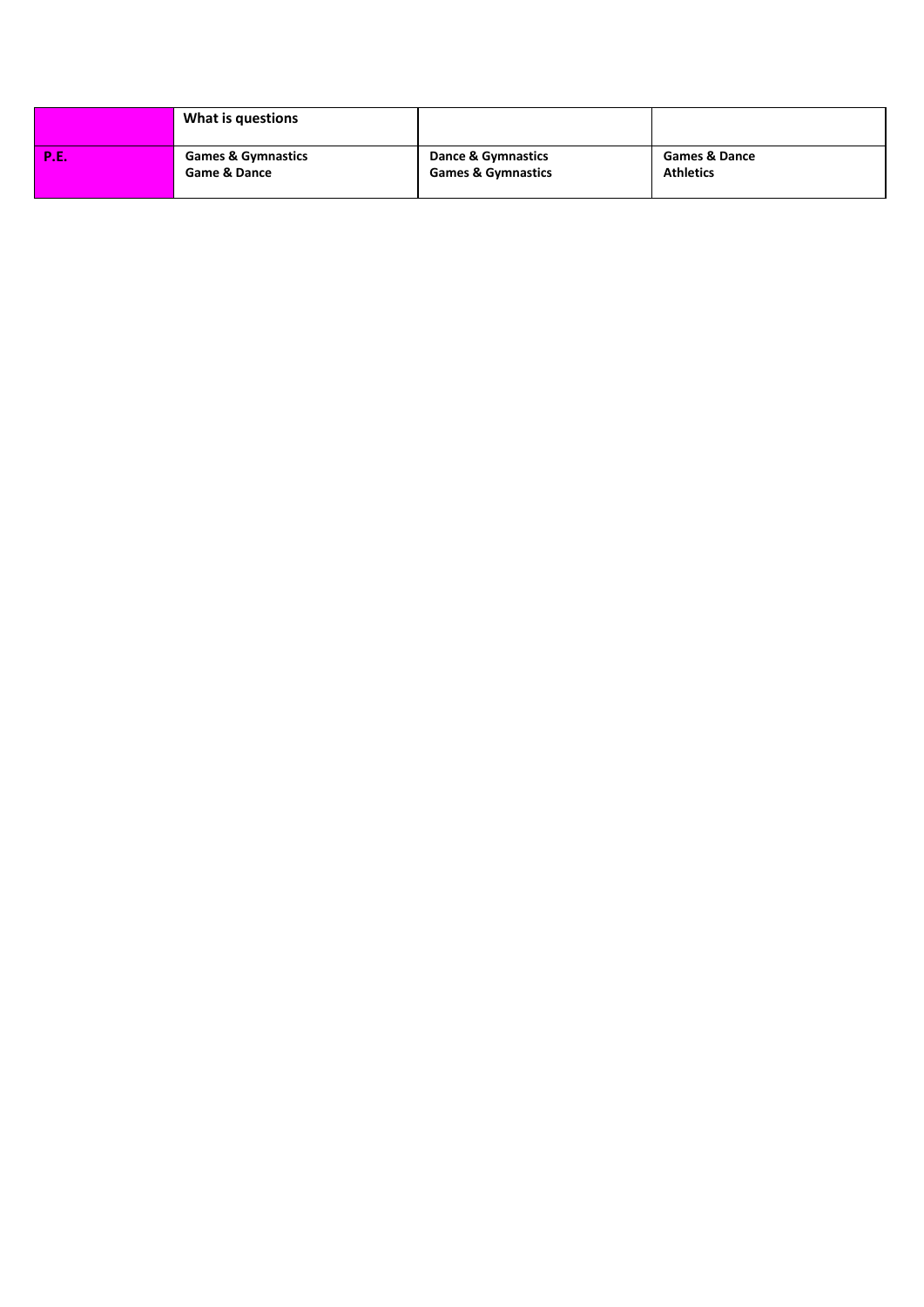|            | What is questions             |                               |                          |
|------------|-------------------------------|-------------------------------|--------------------------|
| <b>P.B</b> | <b>Games &amp; Gymnastics</b> | Dance & Gymnastics            | <b>Games &amp; Dance</b> |
|            | <b>Game &amp; Dance</b>       | <b>Games &amp; Gymnastics</b> | <b>Athletics</b>         |